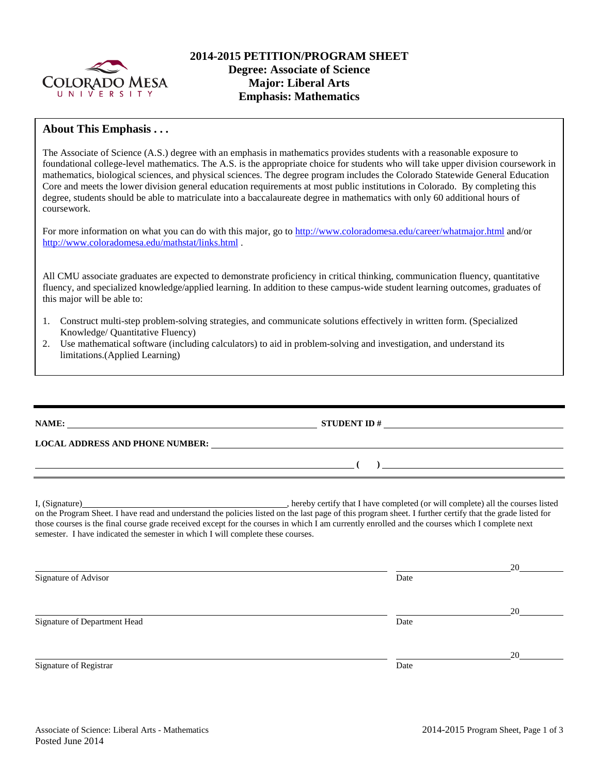

## **About This Emphasis . . .**

The Associate of Science (A.S.) degree with an emphasis in mathematics provides students with a reasonable exposure to foundational college-level mathematics. The A.S. is the appropriate choice for students who will take upper division coursework in mathematics, biological sciences, and physical sciences. The degree program includes the Colorado Statewide General Education Core and meets the lower division general education requirements at most public institutions in Colorado. By completing this degree, students should be able to matriculate into a baccalaureate degree in mathematics with only 60 additional hours of coursework.

For more information on what you can do with this major, go to<http://www.coloradomesa.edu/career/whatmajor.html> and/or <http://www.coloradomesa.edu/mathstat/links.html> .

All CMU associate graduates are expected to demonstrate proficiency in critical thinking, communication fluency, quantitative fluency, and specialized knowledge/applied learning. In addition to these campus-wide student learning outcomes, graduates of this major will be able to:

- 1. Construct multi-step problem-solving strategies, and communicate solutions effectively in written form. (Specialized Knowledge/ Quantitative Fluency)
- 2. Use mathematical software (including calculators) to aid in problem-solving and investigation, and understand its limitations.(Applied Learning)

**NAME: STUDENT ID # LOCAL ADDRESS AND PHONE NUMBER: ( )**  I, (Signature) , hereby certify that I have completed (or will complete) all the courses listed on the Program Sheet. I have read and understand the policies listed on the last page of this program sheet. I further certify that the grade listed for those courses is the final course grade received except for the courses in which I am currently enrolled and the courses which I complete next semester. I have indicated the semester in which I will complete these courses. 20 Signature of Advisor Date 20 Signature of Department Head Date Date of Department Head Date

Signature of Registrar Date

20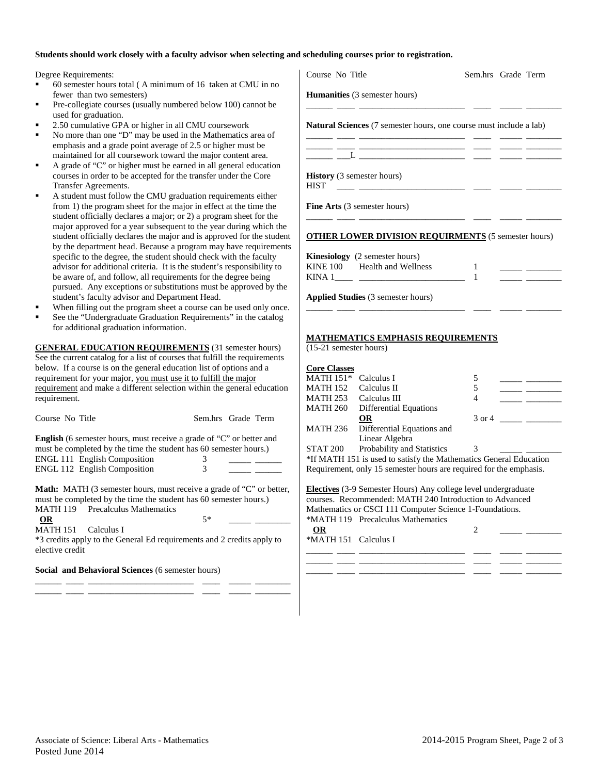## **Students should work closely with a faculty advisor when selecting and scheduling courses prior to registration.**

Degree Requirements:

- 60 semester hours total ( A minimum of 16 taken at CMU in no fewer than two semesters)
- Pre-collegiate courses (usually numbered below 100) cannot be used for graduation.
- 2.50 cumulative GPA or higher in all CMU coursework
- No more than one "D" may be used in the Mathematics area of emphasis and a grade point average of 2.5 or higher must be maintained for all coursework toward the major content area.
- A grade of "C" or higher must be earned in all general education courses in order to be accepted for the transfer under the Core Transfer Agreements.
- A student must follow the CMU graduation requirements either from 1) the program sheet for the major in effect at the time the student officially declares a major; or 2) a program sheet for the major approved for a year subsequent to the year during which th student officially declares the major and is approved for the stude by the department head. Because a program may have requirement specific to the degree, the student should check with the faculty advisor for additional criteria. It is the student's responsibility to be aware of, and follow, all requirements for the degree being pursued. Any exceptions or substitutions must be approved by the student's faculty advisor and Department Head.
- When filling out the program sheet a course can be used only onc
- See the "Undergraduate Graduation Requirements" in the catalog for additional graduation information.

**GENERAL EDUCATION REQUIREMENTS** (31 semester hours) See the current catalog for a list of courses that fulfill the requirements below. If a course is on the general education list of options and a requirement for your major, you must use it to fulfill the major requirement and make a different selection within the general education requirement.

Course No Title Sem.hrs Grade Term **English** (6 semester hours, must receive a grade of "C" or better and must be completed by the time the student has 60 semester hours.) ENGL 111  $\overline{\text{F}}$ nglish Composition

| EINUL 111 Eilgilsii Composition     |  |  |
|-------------------------------------|--|--|
| <b>ENGL 112 English Composition</b> |  |  |
|                                     |  |  |

**Math:** MATH (3 semester hours, must receive a grade of "C" or better, must be completed by the time the student has 60 semester hours.) MATH 119 Precalculus Mathematics

**OR** 5\* \_\_\_\_ \_\_\_\_

MATH 151 Calculus I

\*3 credits apply to the General Ed requirements and 2 credits apply to elective credit

\_\_\_\_\_\_ \_\_\_\_ \_\_\_\_\_\_\_\_\_\_\_\_\_\_\_\_\_\_\_\_\_\_\_\_ \_\_\_\_ \_\_\_\_\_ \_\_\_\_\_\_\_\_ \_\_\_\_\_\_ \_\_\_\_ \_\_\_\_\_\_\_\_\_\_\_\_\_\_\_\_\_\_\_\_\_\_\_\_ \_\_\_\_ \_\_\_\_\_ \_\_\_\_\_\_\_\_

**Social and Behavioral Sciences** (6 semester hours)

|                                                                       |                                                                                                                                                                                      |                          | Sem.hrs Grade Term |
|-----------------------------------------------------------------------|--------------------------------------------------------------------------------------------------------------------------------------------------------------------------------------|--------------------------|--------------------|
|                                                                       | <b>Humanities</b> (3 semester hours)                                                                                                                                                 |                          |                    |
|                                                                       | Natural Sciences (7 semester hours, one course must include a lab)                                                                                                                   |                          |                    |
|                                                                       |                                                                                                                                                                                      |                          |                    |
| <b>HIST</b>                                                           | <b>History</b> (3 semester hours)<br><u> 1999 - Jan Barnett, fransk politiker (</u>                                                                                                  |                          |                    |
|                                                                       | Fine Arts (3 semester hours)                                                                                                                                                         |                          |                    |
|                                                                       | <b>OTHER LOWER DIVISION REQUIRMENTS</b> (5 semester hours)                                                                                                                           |                          |                    |
|                                                                       | Kinesiology (2 semester hours)                                                                                                                                                       |                          |                    |
|                                                                       | KINE 100 Health and Wellness                                                                                                                                                         | 1<br>$\mathbf{1}$        |                    |
|                                                                       |                                                                                                                                                                                      |                          |                    |
|                                                                       |                                                                                                                                                                                      |                          |                    |
|                                                                       | Applied Studies (3 semester hours)                                                                                                                                                   |                          |                    |
| (15-21 semester hours)<br><b>Core Classes</b><br>MATH 151* Calculus I | <b>MATHEMATICS EMPHASIS REQUIREMENTS</b><br>MATH 253 Calculus III                                                                                                                    | 5<br>5<br>$\overline{4}$ |                    |
| MATH 152 Calculus II                                                  | MATH 260 Differential Equations                                                                                                                                                      |                          |                    |
| MATH 236                                                              | <b>OR</b><br>Differential Equations and                                                                                                                                              |                          |                    |
| STAT 200                                                              | Linear Algebra<br>Probability and Statistics                                                                                                                                         | 3                        |                    |
|                                                                       | *If MATH 151 is used to satisfy the Mathematics General Education                                                                                                                    |                          |                    |
|                                                                       | Requirement, only 15 semester hours are required for the emphasis.                                                                                                                   |                          |                    |
|                                                                       | Electives (3-9 Semester Hours) Any college level undergraduate<br>courses. Recommended: MATH 240 Introduction to Advanced<br>Mathematics or CSCI 111 Computer Science 1-Foundations. |                          |                    |
| <b>OR</b>                                                             | *MATH 119 Precalculus Mathematics                                                                                                                                                    | 2                        |                    |